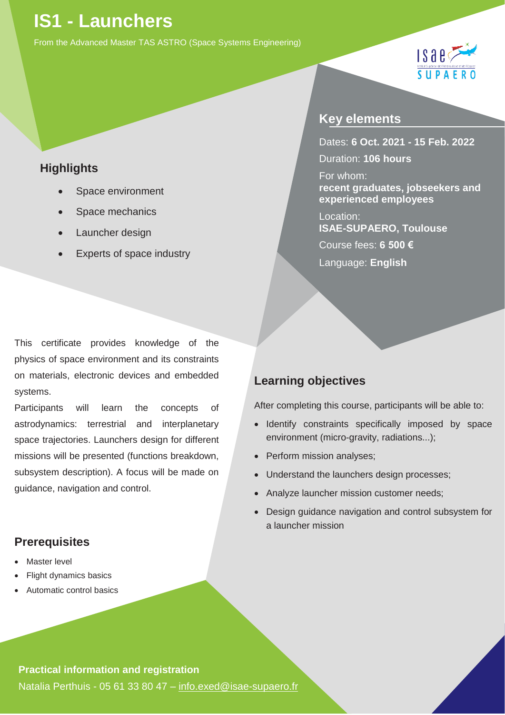# **IS1 - Launchers**

From the Advanced Master TAS ASTRO (Space Systems Engineering)

### **Highlights**

- Space environment
- Space mechanics
- Launcher design
- Experts of space industry

## **Key elements**

Dates: **6 Oct. 2021 - 15 Feb. 2022** Duration: **106 hours**

 $ISABZ$ 

SUPAE

For whom: **recent graduates, jobseekers and experienced employees**

Location: **ISAE-SUPAERO, Toulouse**  Course fees: **6 500 €** Language: **English**

This certificate provides knowledge of the physics of space environment and its constraints on materials, electronic devices and embedded systems.

Participants will learn the concepts of astrodynamics: terrestrial and interplanetary space trajectories. Launchers design for different missions will be presented (functions breakdown, subsystem description). A focus will be made on guidance, navigation and control.

### **Prerequisites**

- **Master level**
- Flight dynamics basics
- Automatic control basics

## **Learning objectives**

After completing this course, participants will be able to:

- Identify constraints specifically imposed by space environment (micro-gravity, radiations...);
- Perform mission analyses;
- Understand the launchers design processes;
- Analyze launcher mission customer needs;
- Design guidance navigation and control subsystem for a launcher mission

#### **Practical information and registration**

Natalia Perthuis - 05 61 33 80 47 – [info.exed@isae-supaero.fr](mailto:info.exed@isae-supaero.fr)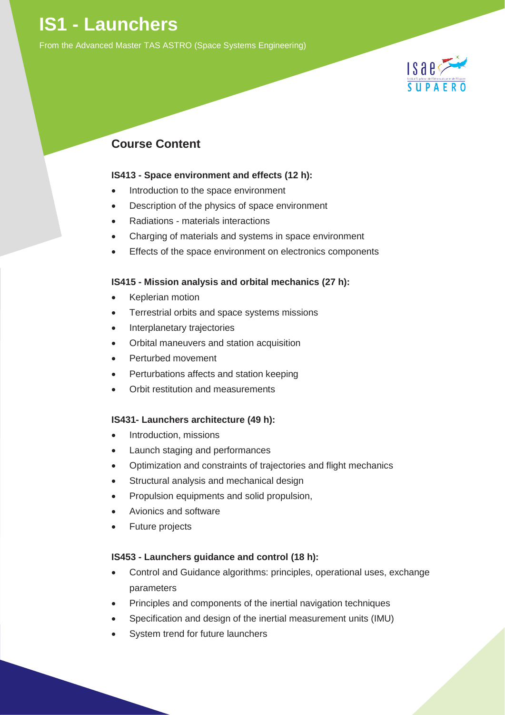## **IS1 - Launchers**

From the Advanced Master TAS ASTRO (Space Systems Engineering)



## **Course Content**

#### **IS413 - Space environment and effects (12 h):**

- Introduction to the space environment
- Description of the physics of space environment
- Radiations materials interactions
- Charging of materials and systems in space environment
- Effects of the space environment on electronics components

#### **IS415 - Mission analysis and orbital mechanics (27 h):**

- Keplerian motion
- Terrestrial orbits and space systems missions
- Interplanetary trajectories
- Orbital maneuvers and station acquisition
- Perturbed movement
- Perturbations affects and station keeping
- Orbit restitution and measurements

#### **IS431- Launchers architecture (49 h):**

- Introduction, missions
- Launch staging and performances
- Optimization and constraints of trajectories and flight mechanics
- Structural analysis and mechanical design
- Propulsion equipments and solid propulsion,
- Avionics and software
- Future projects

#### **IS453 - Launchers guidance and control (18 h):**

- Control and Guidance algorithms: principles, operational uses, exchange parameters
- Principles and components of the inertial navigation techniques
- Specification and design of the inertial measurement units (IMU)
- System trend for future launchers